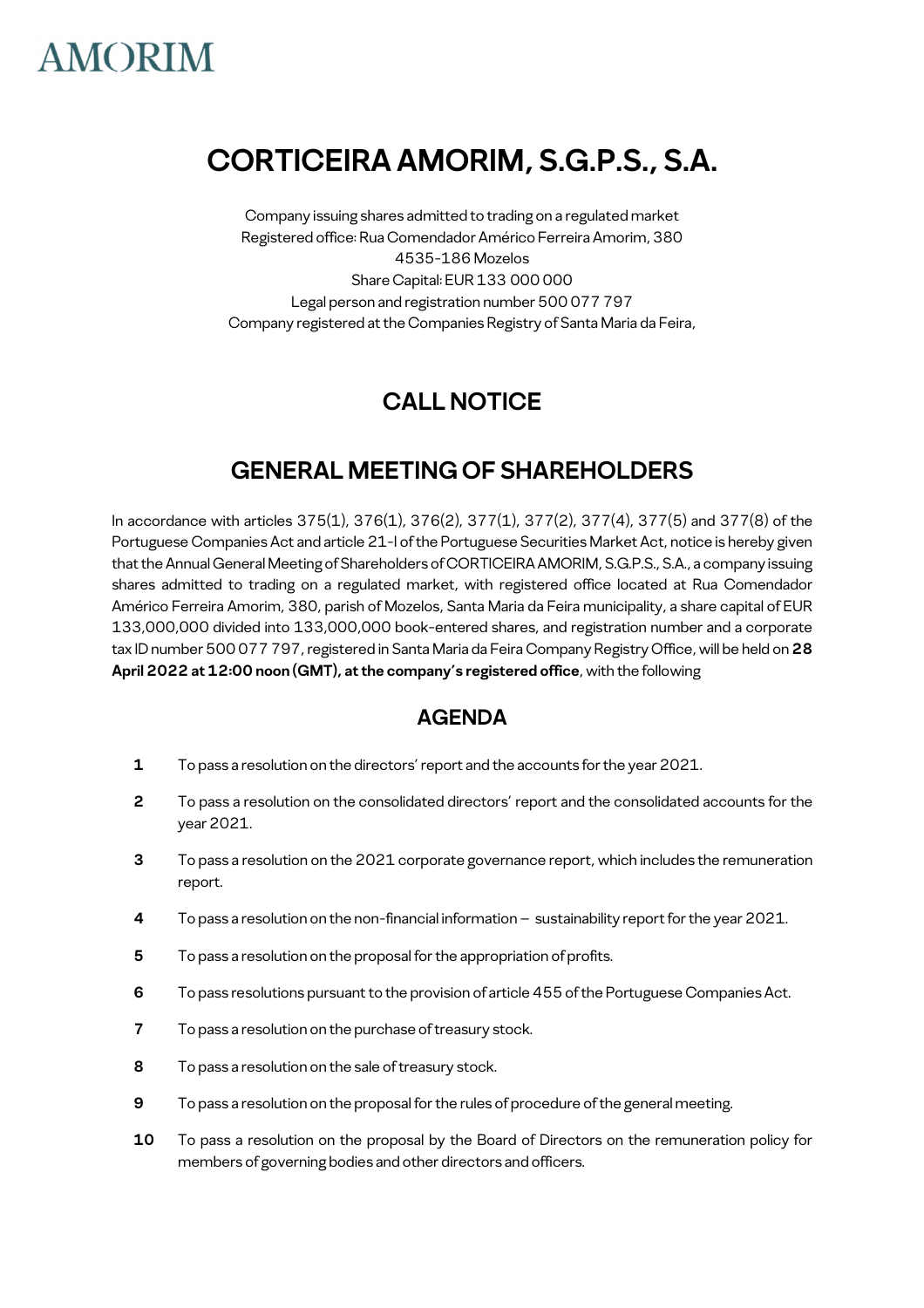### **CORTICEIRA AMORIM, S.G.P.S., S.A.**

Company issuing shares admitted to trading on a regulated market Registered office: Rua Comendador Américo Ferreira Amorim, 380 4535-186 Mozelos Share Capital: EUR 133 000 000 Legal person and registration number 500 077 797 Company registered at the Companies Registry of Santa Maria da Feira,

### **CALL NOTICE**

### **GENERAL MEETING OF SHAREHOLDERS**

In accordance with articles 375(1), 376(1), 376(2), 377(1), 377(2), 377(4), 377(5) and 377(8) of the Portuguese Companies Act and article 21-I of the Portuguese Securities Market Act, notice is hereby given that the Annual General Meeting of Shareholders of CORTICEIRA AMORIM, S.G.P.S., S.A., a company issuing shares admitted to trading on a regulated market, with registered office located at Rua Comendador Américo Ferreira Amorim, 380, parish of Mozelos, Santa Maria da Feira municipality, a share capital of EUR 133,000,000 divided into 133,000,000 book-entered shares, and registration number and a corporate tax ID number 500 077 797, registered in Santa Maria da Feira Company Registry Office, will be held on **28 April 2022 at 12:00 noon (GMT), at the company's registered office**, with the following

### **AGENDA**

- **1** To pass a resolution on the directors' report and the accounts for the year 2021.
- **2** To pass a resolution on the consolidated directors' report and the consolidated accounts for the year 2021.
- **3** To pass a resolution on the 2021 corporate governance report, which includes the remuneration report.
- **4** To pass a resolution on the non-financial information sustainability report for the year 2021.
- **5** To pass a resolution on the proposal for the appropriation of profits.
- **6** To pass resolutions pursuant to the provision of article 455 of the Portuguese Companies Act.
- **7** To pass a resolution on the purchase of treasury stock.
- **8** To pass a resolution on the sale of treasury stock.
- **9** To pass a resolution on the proposal for the rules of procedure of the general meeting.
- **10** To pass a resolution on the proposal by the Board of Directors on the remuneration policy for members of governing bodies and other directors and officers.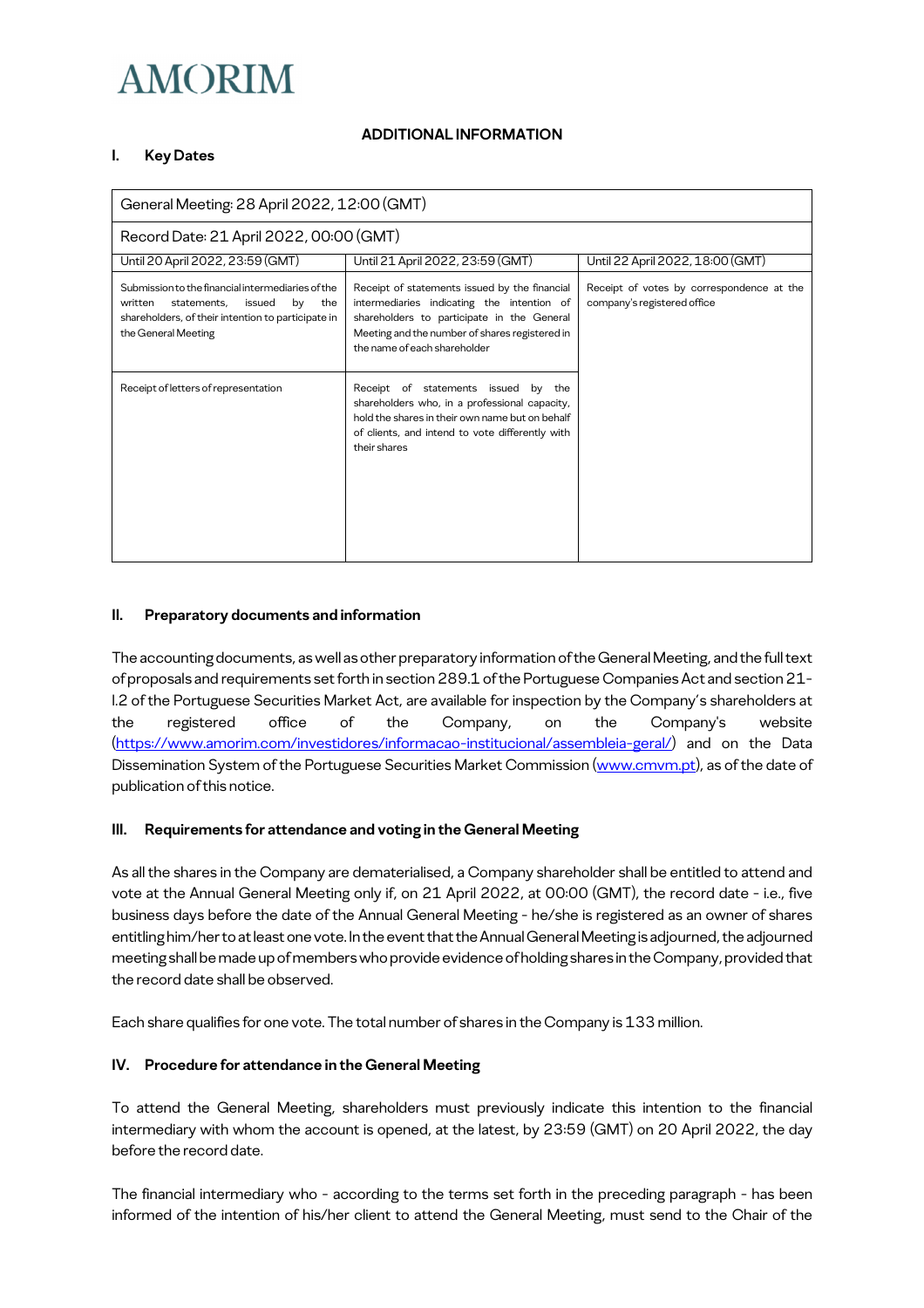#### **ADDITIONAL INFORMATION**

#### **I. Key Dates**

| General Meeting: 28 April 2022, 12:00 (GMT)                                                                                                                                     |                                                                                                                                                                                                                             |                                                                          |
|---------------------------------------------------------------------------------------------------------------------------------------------------------------------------------|-----------------------------------------------------------------------------------------------------------------------------------------------------------------------------------------------------------------------------|--------------------------------------------------------------------------|
| Record Date: 21 April 2022, 00:00 (GMT)                                                                                                                                         |                                                                                                                                                                                                                             |                                                                          |
| Until 20 April 2022, 23:59 (GMT)                                                                                                                                                | Until 21 April 2022, 23:59 (GMT)                                                                                                                                                                                            | Until 22 April 2022, 18:00 (GMT)                                         |
| Submission to the financial intermediaries of the<br>written<br>statements.<br>the<br>issued<br>by<br>shareholders, of their intention to participate in<br>the General Meeting | Receipt of statements issued by the financial<br>intermediaries indicating the intention of<br>shareholders to participate in the General<br>Meeting and the number of shares registered in<br>the name of each shareholder | Receipt of votes by correspondence at the<br>company's registered office |
| Receipt of letters of representation                                                                                                                                            | Receipt of statements issued<br>by the<br>shareholders who, in a professional capacity,<br>hold the shares in their own name but on behalf<br>of clients, and intend to vote differently with<br>their shares               |                                                                          |

#### **II. Preparatory documents and information**

The accounting documents, as well as other preparatory information of the General Meeting, and the full text of proposals and requirements set forth in section 289.1 of the Portuguese Companies Act and section 21- I.2 of the Portuguese Securities Market Act, are available for inspection by the Company's shareholders at the registered office of the Company, on the Company's website (https://www.amorim.com/investidores/informacao-institucional/assembleia-geral/) and on the Data Dissemination System of the Portuguese Securities Market Commission (www.cmvm.pt), as of the date of publication of this notice.

#### **III. Requirements for attendance and voting in the General Meeting**

As all the shares in the Company are dematerialised, a Company shareholder shall be entitled to attend and vote at the Annual General Meeting only if, on 21 April 2022, at 00:00 (GMT), the record date - i.e., five business days before the date of the Annual General Meeting - he/she is registered as an owner of shares entitling him/her to at least one vote. In the event that the Annual General Meeting is adjourned, the adjourned meeting shall be made up of members who provide evidence of holding shares in the Company, provided that the record date shall be observed.

Each share qualifies for one vote. The total number of shares in the Company is 133 million.

#### **IV. Procedure for attendance in the General Meeting**

To attend the General Meeting, shareholders must previously indicate this intention to the financial intermediary with whom the account is opened, at the latest, by 23:59 (GMT) on 20 April 2022, the day before the record date.

The financial intermediary who - according to the terms set forth in the preceding paragraph - has been informed of the intention of his/her client to attend the General Meeting, must send to the Chair of the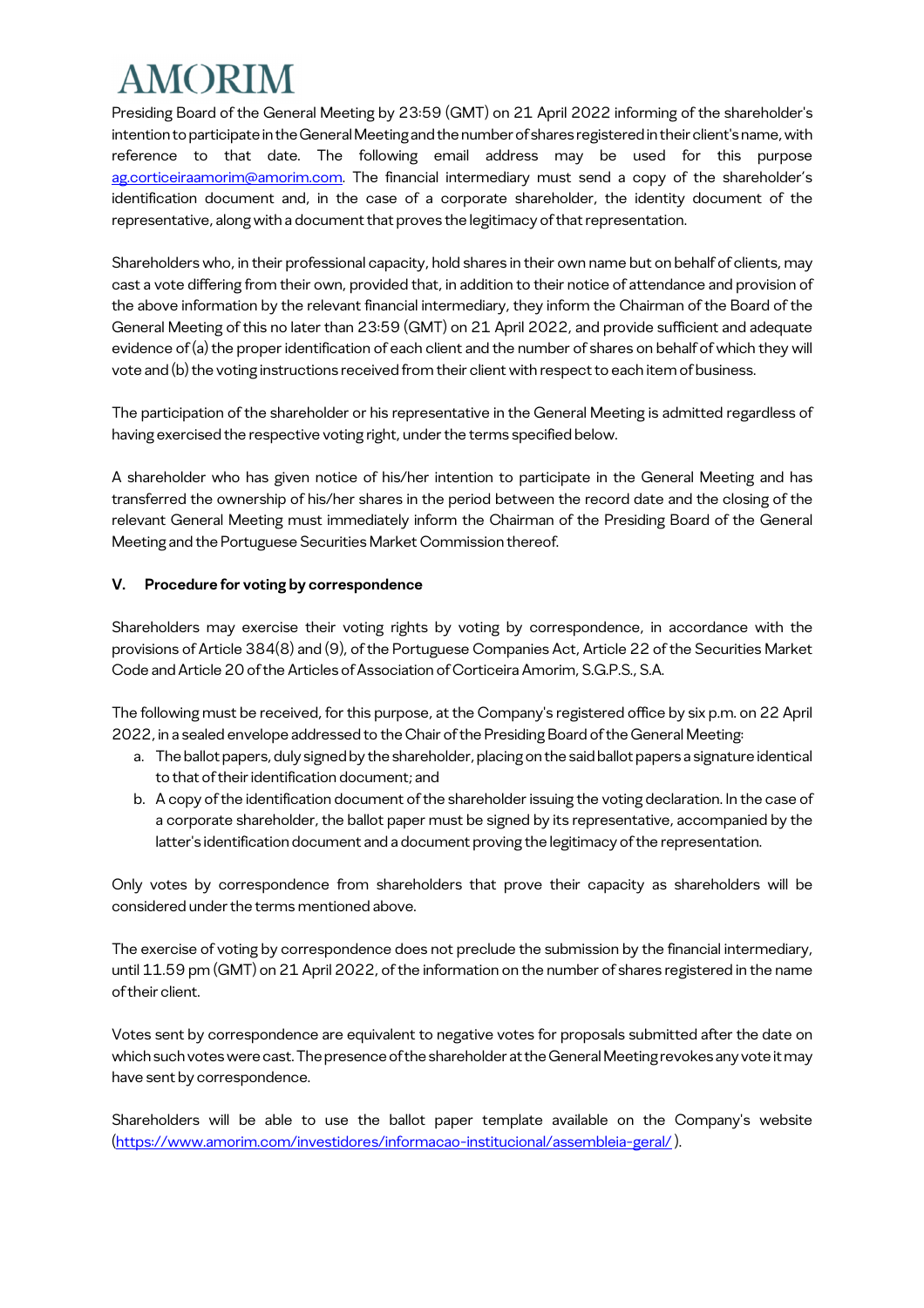Presiding Board of the General Meeting by 23:59 (GMT) on 21 April 2022 informing of the shareholder's intention to participate in the General Meeting and the number of shares registered in their client's name, with reference to that date. The following email address may be used for this purpose ag.corticeiraamorim@amorim.com. The financial intermediary must send a copy of the shareholder's identification document and, in the case of a corporate shareholder, the identity document of the representative, along with a document that proves the legitimacy of that representation.

Shareholders who, in their professional capacity, hold shares in their own name but on behalf of clients, may cast a vote differing from their own, provided that, in addition to their notice of attendance and provision of the above information by the relevant financial intermediary, they inform the Chairman of the Board of the General Meeting of this no later than 23:59 (GMT) on 21 April 2022, and provide sufficient and adequate evidence of (a) the proper identification of each client and the number of shares on behalf of which they will vote and (b) the voting instructions received from their client with respect to each item of business.

The participation of the shareholder or his representative in the General Meeting is admitted regardless of having exercised the respective voting right, under the terms specified below.

A shareholder who has given notice of his/her intention to participate in the General Meeting and has transferred the ownership of his/her shares in the period between the record date and the closing of the relevant General Meeting must immediately inform the Chairman of the Presiding Board of the General Meeting and the Portuguese Securities Market Commission thereof.

#### **V. Procedure for voting by correspondence**

Shareholders may exercise their voting rights by voting by correspondence, in accordance with the provisions of Article 384(8) and (9), of the Portuguese Companies Act, Article 22 of the Securities Market Code and Article 20 of the Articles of Association of Corticeira Amorim, S.G.P.S., S.A.

The following must be received, for this purpose, at the Company's registered office by six p.m. on 22 April 2022, in a sealed envelope addressed to the Chair of the Presiding Board of the General Meeting:

- a. The ballot papers, duly signed by the shareholder, placing on the said ballot papers a signature identical to that of their identification document; and
- b. A copy of the identification document of the shareholder issuing the voting declaration. In the case of a corporate shareholder, the ballot paper must be signed by its representative, accompanied by the latter's identification document and a document proving the legitimacy of the representation.

Only votes by correspondence from shareholders that prove their capacity as shareholders will be considered under the terms mentioned above.

The exercise of voting by correspondence does not preclude the submission by the financial intermediary, until 11.59 pm (GMT) on 21 April 2022, of the information on the number of shares registered in the name of their client.

Votes sent by correspondence are equivalent to negative votes for proposals submitted after the date on which such votes were cast. The presence of the shareholder at the General Meeting revokes any vote it may have sent by correspondence.

Shareholders will be able to use the ballot paper template available on the Company's website (https://www.amorim.com/investidores/informacao-institucional/assembleia-geral/ ).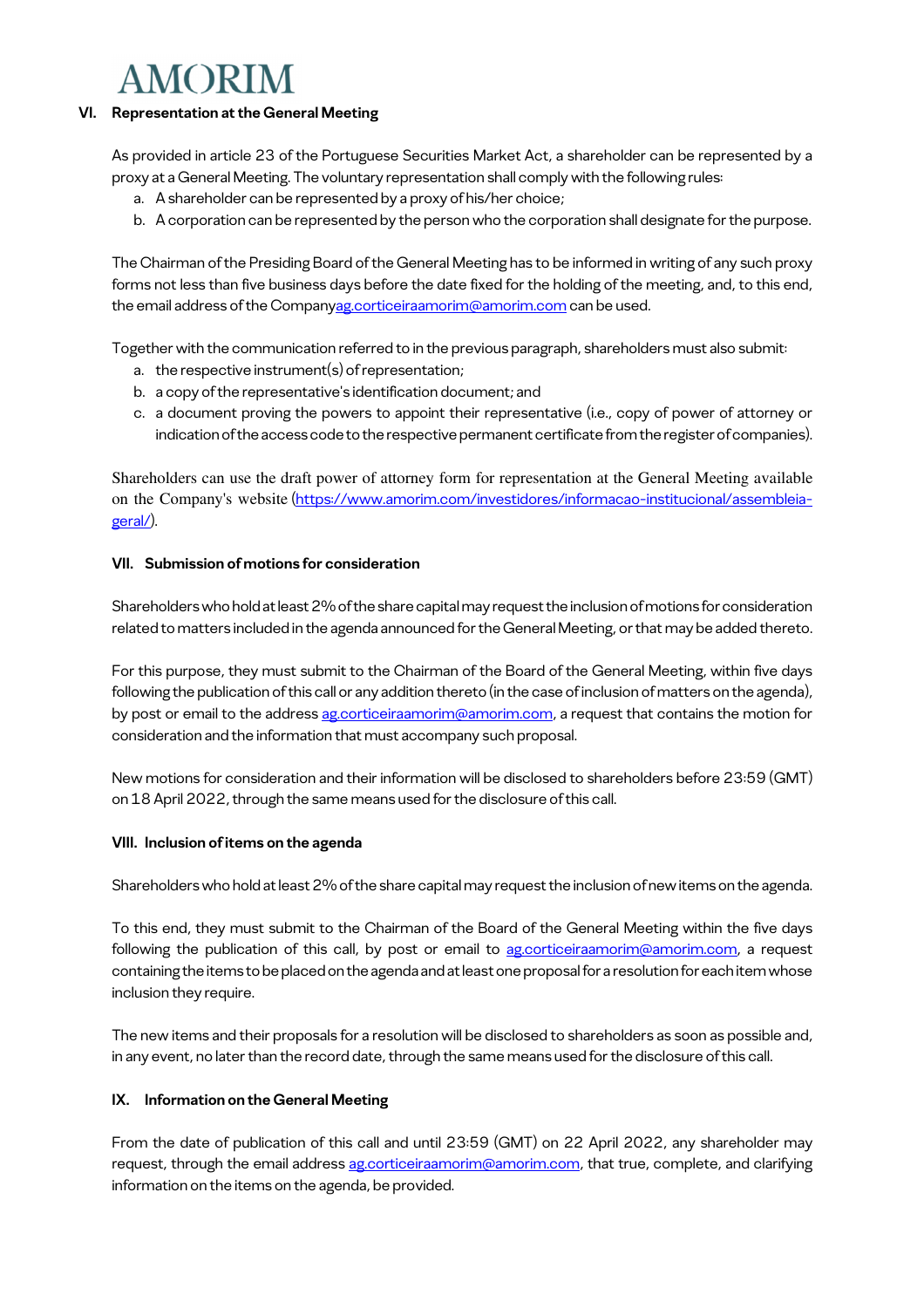#### **VI. Representation at the General Meeting**

As provided in article 23 of the Portuguese Securities Market Act, a shareholder can be represented by a proxy at a General Meeting. The voluntary representation shall comply with the following rules:

- a. A shareholder can be represented by a proxy of his/her choice;
- b. A corporation can be represented by the person who the corporation shall designate for the purpose.

The Chairman of the Presiding Board of the General Meeting has to be informed in writing of any such proxy forms not less than five business days before the date fixed for the holding of the meeting, and, to this end, the email address of the Companyag.corticeiraamorim@amorim.com can be used.

Together with the communication referred to in the previous paragraph, shareholders must also submit:

- a. the respective instrument(s) of representation;
- b. a copy of the representative's identification document; and
- c. a document proving the powers to appoint their representative (i.e., copy of power of attorney or indication of the access code to the respective permanent certificate from the register of companies).

Shareholders can use the draft power of attorney form for representation at the General Meeting available on the Company's website (https://www.amorim.com/investidores/informacao-institucional/assembleiageral/).

#### **VII. Submission of motions for consideration**

Shareholders who hold at least 2% of the share capital may request the inclusion of motions for consideration related to matters included in the agenda announced for the General Meeting, or that may be added thereto.

For this purpose, they must submit to the Chairman of the Board of the General Meeting, within five days following the publication of this call or any addition thereto (in the case of inclusion of matters on the agenda), by post or email to the address ag.corticeiraamorim@amorim.com, a request that contains the motion for consideration and the information that must accompany such proposal.

New motions for consideration and their information will be disclosed to shareholders before 23:59 (GMT) on 18 April 2022, through the same means used for the disclosure of this call.

#### **VIII. Inclusion of items on the agenda**

Shareholders who hold at least 2% of the share capital may request the inclusion of new items on the agenda.

To this end, they must submit to the Chairman of the Board of the General Meeting within the five days following the publication of this call, by post or email to ag.corticeiraamorim@amorim.com, a request containing the items to be placed on the agenda and at least one proposal for a resolution for each item whose inclusion they require.

The new items and their proposals for a resolution will be disclosed to shareholders as soon as possible and, in any event, no later than the record date, through the same means used for the disclosure of this call.

#### **IX. Information on the General Meeting**

From the date of publication of this call and until 23:59 (GMT) on 22 April 2022, any shareholder may request, through the email address ag.corticeiraamorim@amorim.com, that true, complete, and clarifying information on the items on the agenda, be provided.